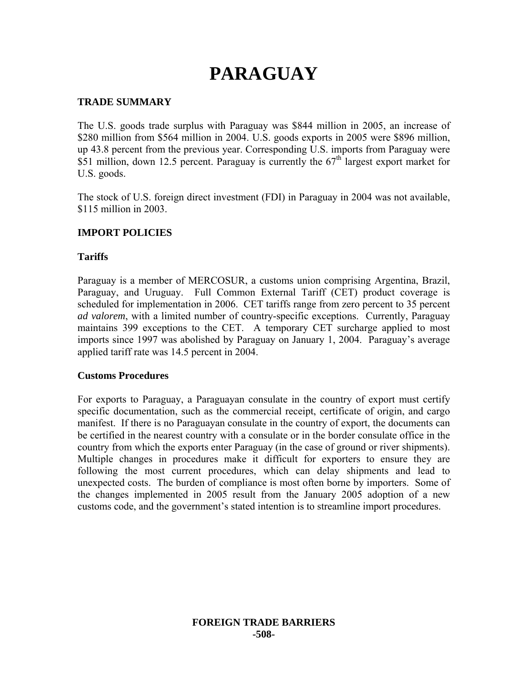# **PARAGUAY**

# **TRADE SUMMARY**

The U.S. goods trade surplus with Paraguay was \$844 million in 2005, an increase of \$280 million from \$564 million in 2004. U.S. goods exports in 2005 were \$896 million, up 43.8 percent from the previous year. Corresponding U.S. imports from Paraguay were \$51 million, down 12.5 percent. Paraguay is currently the  $67<sup>th</sup>$  largest export market for U.S. goods.

The stock of U.S. foreign direct investment (FDI) in Paraguay in 2004 was not available, \$115 million in 2003.

### **IMPORT POLICIES**

### **Tariffs**

Paraguay is a member of MERCOSUR, a customs union comprising Argentina, Brazil, Paraguay, and Uruguay. Full Common External Tariff (CET) product coverage is scheduled for implementation in 2006. CET tariffs range from zero percent to 35 percent *ad valorem*, with a limited number of country-specific exceptions. Currently, Paraguay maintains 399 exceptions to the CET. A temporary CET surcharge applied to most imports since 1997 was abolished by Paraguay on January 1, 2004. Paraguay's average applied tariff rate was 14.5 percent in 2004.

#### **Customs Procedures**

For exports to Paraguay, a Paraguayan consulate in the country of export must certify specific documentation, such as the commercial receipt, certificate of origin, and cargo manifest. If there is no Paraguayan consulate in the country of export, the documents can be certified in the nearest country with a consulate or in the border consulate office in the country from which the exports enter Paraguay (in the case of ground or river shipments). Multiple changes in procedures make it difficult for exporters to ensure they are following the most current procedures, which can delay shipments and lead to unexpected costs. The burden of compliance is most often borne by importers. Some of the changes implemented in 2005 result from the January 2005 adoption of a new customs code, and the government's stated intention is to streamline import procedures.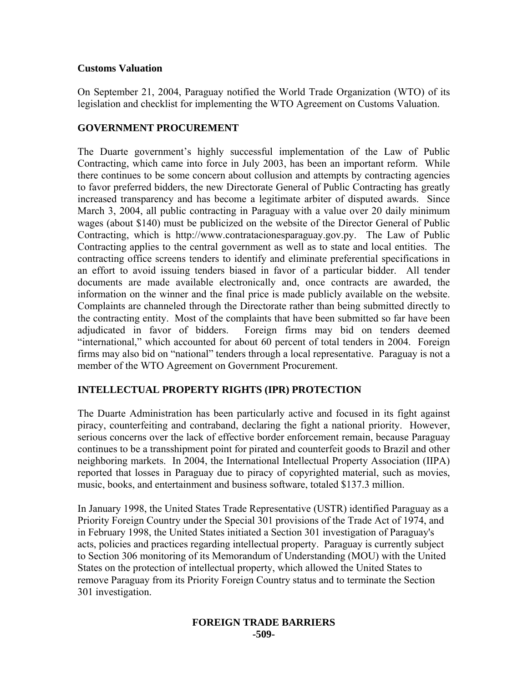#### **Customs Valuation**

On September 21, 2004, Paraguay notified the World Trade Organization (WTO) of its legislation and checklist for implementing the WTO Agreement on Customs Valuation.

# **GOVERNMENT PROCUREMENT**

The Duarte government's highly successful implementation of the Law of Public Contracting, which came into force in July 2003, has been an important reform. While there continues to be some concern about collusion and attempts by contracting agencies to favor preferred bidders, the new Directorate General of Public Contracting has greatly increased transparency and has become a legitimate arbiter of disputed awards. Since March 3, 2004, all public contracting in Paraguay with a value over 20 daily minimum wages (about \$140) must be publicized on the website of the Director General of Public Contracting, which is http://www.contratacionesparaguay.gov.py. The Law of Public Contracting applies to the central government as well as to state and local entities. The contracting office screens tenders to identify and eliminate preferential specifications in an effort to avoid issuing tenders biased in favor of a particular bidder. All tender documents are made available electronically and, once contracts are awarded, the information on the winner and the final price is made publicly available on the website. Complaints are channeled through the Directorate rather than being submitted directly to the contracting entity. Most of the complaints that have been submitted so far have been adjudicated in favor of bidders. Foreign firms may bid on tenders deemed "international," which accounted for about 60 percent of total tenders in 2004. Foreign firms may also bid on "national" tenders through a local representative. Paraguay is not a member of the WTO Agreement on Government Procurement.

### **INTELLECTUAL PROPERTY RIGHTS (IPR) PROTECTION**

The Duarte Administration has been particularly active and focused in its fight against piracy, counterfeiting and contraband, declaring the fight a national priority. However, serious concerns over the lack of effective border enforcement remain, because Paraguay continues to be a transshipment point for pirated and counterfeit goods to Brazil and other neighboring markets. In 2004, the International Intellectual Property Association (IIPA) reported that losses in Paraguay due to piracy of copyrighted material, such as movies, music, books, and entertainment and business software, totaled \$137.3 million.

In January 1998, the United States Trade Representative (USTR) identified Paraguay as a Priority Foreign Country under the Special 301 provisions of the Trade Act of 1974, and in February 1998, the United States initiated a Section 301 investigation of Paraguay's acts, policies and practices regarding intellectual property. Paraguay is currently subject to Section 306 monitoring of its Memorandum of Understanding (MOU) with the United States on the protection of intellectual property, which allowed the United States to remove Paraguay from its Priority Foreign Country status and to terminate the Section 301 investigation.

#### **FOREIGN TRADE BARRIERS -509-**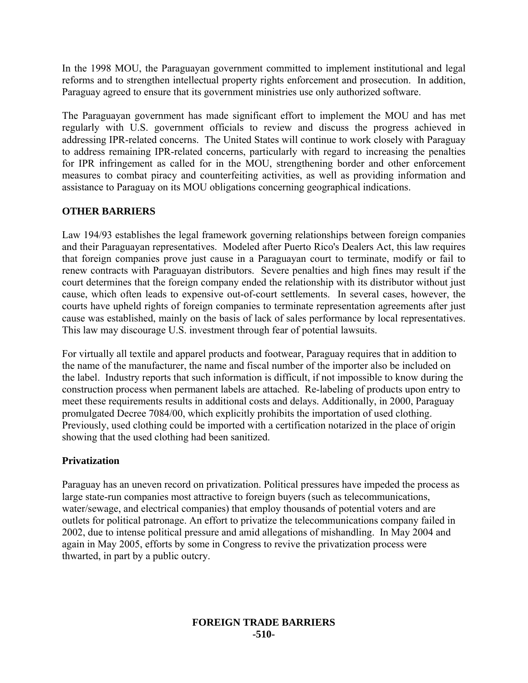In the 1998 MOU, the Paraguayan government committed to implement institutional and legal reforms and to strengthen intellectual property rights enforcement and prosecution. In addition, Paraguay agreed to ensure that its government ministries use only authorized software.

The Paraguayan government has made significant effort to implement the MOU and has met regularly with U.S. government officials to review and discuss the progress achieved in addressing IPR-related concerns. The United States will continue to work closely with Paraguay to address remaining IPR-related concerns, particularly with regard to increasing the penalties for IPR infringement as called for in the MOU, strengthening border and other enforcement measures to combat piracy and counterfeiting activities, as well as providing information and assistance to Paraguay on its MOU obligations concerning geographical indications.

# **OTHER BARRIERS**

Law 194/93 establishes the legal framework governing relationships between foreign companies and their Paraguayan representatives. Modeled after Puerto Rico's Dealers Act, this law requires that foreign companies prove just cause in a Paraguayan court to terminate, modify or fail to renew contracts with Paraguayan distributors. Severe penalties and high fines may result if the court determines that the foreign company ended the relationship with its distributor without just cause, which often leads to expensive out-of-court settlements. In several cases, however, the courts have upheld rights of foreign companies to terminate representation agreements after just cause was established, mainly on the basis of lack of sales performance by local representatives. This law may discourage U.S. investment through fear of potential lawsuits.

For virtually all textile and apparel products and footwear, Paraguay requires that in addition to the name of the manufacturer, the name and fiscal number of the importer also be included on the label. Industry reports that such information is difficult, if not impossible to know during the construction process when permanent labels are attached. Re-labeling of products upon entry to meet these requirements results in additional costs and delays. Additionally, in 2000, Paraguay promulgated Decree 7084/00, which explicitly prohibits the importation of used clothing. Previously, used clothing could be imported with a certification notarized in the place of origin showing that the used clothing had been sanitized.

### **Privatization**

Paraguay has an uneven record on privatization. Political pressures have impeded the process as large state-run companies most attractive to foreign buyers (such as telecommunications, water/sewage, and electrical companies) that employ thousands of potential voters and are outlets for political patronage. An effort to privatize the telecommunications company failed in 2002, due to intense political pressure and amid allegations of mishandling. In May 2004 and again in May 2005, efforts by some in Congress to revive the privatization process were thwarted, in part by a public outcry.

#### **FOREIGN TRADE BARRIERS -510-**